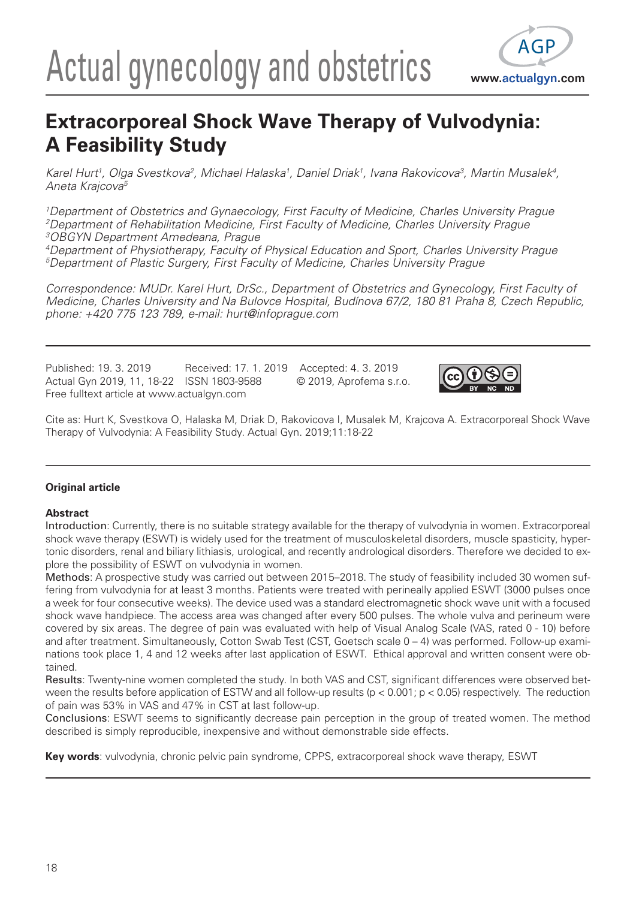# Actual gynecology and obstetrics www.actualgyn.com



# **Extracorporeal Shock Wave Therapy of Vulvodynia: A Feasibility Study**

*Karel Hurt1, Olga Svestkova2, Michael Halaska1, Daniel Driak1, Ivana Rakovicova3, Martin Musalek4, Aneta Krajcova5*

*1Department of Obstetrics and Gynaecology, First Faculty of Medicine, Charles University Prague 2Department of Rehabilitation Medicine, First Faculty of Medicine, Charles University Prague 3OBGYN Department Amedeana, Prague*

*4Department of Physiotherapy, Faculty of Physical Education and Sport, Charles University Prague 5Department of Plastic Surgery, First Faculty of Medicine, Charles University Prague*

*Correspondence: MUDr. Karel Hurt, DrSc., Department of Obstetrics and Gynecology, First Faculty of Medicine, Charles University and Na Bulovce Hospital, Budínova 67/2, 180 81 Praha 8, Czech Republic, phone: +420 775 123 789, e-mail: hurt@infoprague.com*

Published: 19. 3. 2019 Received: 17. 1. 2019 Accepted: 4. 3. 2019 Actual Gyn 2019, 11, 18-22 ISSN 1803-9588 © 2019, Aprofema s.r.o. Free fulltext article at www.actualgyn.com



Cite as: Hurt K, Svestkova O, Halaska M, Driak D, Rakovicova I, Musalek M, Krajcova A. Extracorporeal Shock Wave Therapy of Vulvodynia: A Feasibility Study. Actual Gyn. 2019;11:18-22

# **Original article**

## **Abstract**

Introduction: Currently, there is no suitable strategy available for the therapy of vulvodynia in women. Extracorporeal shock wave therapy (ESWT) is widely used for the treatment of musculoskeletal disorders, muscle spasticity, hypertonic disorders, renal and biliary lithiasis, urological, and recently andrological disorders. Therefore we decided to explore the possibility of ESWT on vulvodynia in women.

Methods: A prospective study was carried out between 2015–2018. The study of feasibility included 30 women suffering from vulvodynia for at least 3 months. Patients were treated with perineally applied ESWT (3000 pulses once a week for four consecutive weeks). The device used was a standard electromagnetic shock wave unit with a focused shock wave handpiece. The access area was changed after every 500 pulses. The whole vulva and perineum were covered by six areas. The degree of pain was evaluated with help of Visual Analog Scale (VAS, rated 0 - 10) before and after treatment. Simultaneously, Cotton Swab Test (CST, Goetsch scale 0 – 4) was performed. Follow-up examinations took place 1, 4 and 12 weeks after last application of ESWT. Ethical approval and written consent were obtained.

Results: Twenty-nine women completed the study. In both VAS and CST, significant differences were observed between the results before application of ESTW and all follow-up results (p < 0.001; p < 0.05) respectively. The reduction of pain was 53% in VAS and 47% in CST at last follow-up.

Conclusions: ESWT seems to significantly decrease pain perception in the group of treated women. The method described is simply reproducible, inexpensive and without demonstrable side effects.

**Key words**: vulvodynia, chronic pelvic pain syndrome, CPPS, extracorporeal shock wave therapy, ESWT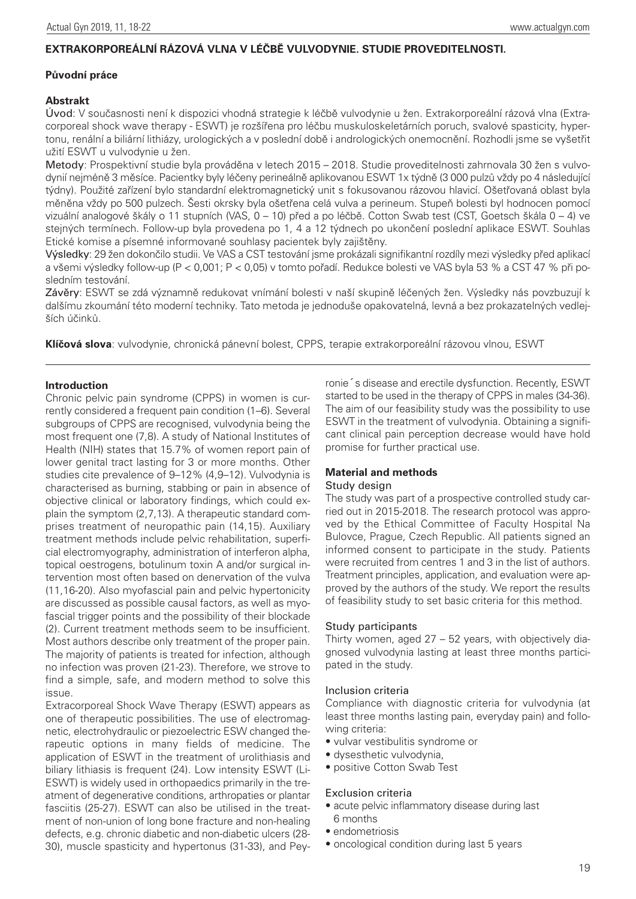# **EXTRAKORPOREÁLNÍ RÁZOVÁ VLNA V LÉČBĚ VULVODYNIE. STUDIE PROVEDITELNOSTI.**

#### **Původní práce**

# **Abstrakt**

Úvod: V současnosti není k dispozici vhodná strategie k léčbě vulvodynie u žen. Extrakorporeální rázová vlna (Extracorporeal shock wave therapy - ESWT) je rozšířena pro léčbu muskuloskeletárních poruch, svalové spasticity, hypertonu, renální a biliární lithiázy, urologických a v poslední době i andrologických onemocnění. Rozhodli jsme se vyšetřit užití ESWT u vulvodynie u žen.

Metody: Prospektivní studie byla prováděna v letech 2015 – 2018. Studie proveditelnosti zahrnovala 30 žen s vulvodynií nejméně 3 měsíce. Pacientky byly léčeny perineálně aplikovanou ESWT 1x týdně (3 000 pulzů vždy po 4 následující týdny). Použité zařízení bylo standardní elektromagnetický unit s fokusovanou rázovou hlavicí. Ošetřovaná oblast byla měněna vždy po 500 pulzech. Šesti okrsky byla ošetřena celá vulva a perineum. Stupeň bolesti byl hodnocen pomocí vizuální analogové škály o 11 stupních (VAS, 0 – 10) před a po léčbě. Cotton Swab test (CST, Goetsch škála 0 – 4) ve stejných termínech. Follow-up byla provedena po 1, 4 a 12 týdnech po ukončení poslední aplikace ESWT. Souhlas Etické komise a písemné informované souhlasy pacientek byly zajištěny.

Výsledky: 29 žen dokončilo studii. Ve VAS a CST testování jsme prokázali signifikantní rozdíly mezi výsledky před aplikací a všemi výsledky follow-up (P < 0,001; P < 0,05) v tomto pořadí. Redukce bolesti ve VAS byla 53 % a CST 47 % při posledním testování.

Závěry: ESWT se zdá významně redukovat vnímání bolesti v naší skupině léčených žen. Výsledky nás povzbuzují k dalšímu zkoumání této moderní techniky. Tato metoda je jednoduše opakovatelná, levná a bez prokazatelných vedlejších účinků.

**Klíčová slova**: vulvodynie, chronická pánevní bolest, CPPS, terapie extrakorporeální rázovou vlnou, ESWT

## **Introduction**

Chronic pelvic pain syndrome (CPPS) in women is currently considered a frequent pain condition (1–6). Several subgroups of CPPS are recognised, vulvodynia being the most frequent one (7,8). A study of National Institutes of Health (NIH) states that 15.7% of women report pain of lower genital tract lasting for 3 or more months. Other studies cite prevalence of 9–12% (4,9–12). Vulvodynia is characterised as burning, stabbing or pain in absence of objective clinical or laboratory findings, which could explain the symptom (2,7,13). A therapeutic standard comprises treatment of neuropathic pain (14,15). Auxiliary treatment methods include pelvic rehabilitation, superficial electromyography, administration of interferon alpha, topical oestrogens, botulinum toxin A and/or surgical intervention most often based on denervation of the vulva (11,16-20). Also myofascial pain and pelvic hypertonicity are discussed as possible causal factors, as well as myofascial trigger points and the possibility of their blockade (2). Current treatment methods seem to be insufficient. Most authors describe only treatment of the proper pain. The majority of patients is treated for infection, although no infection was proven (21-23). Therefore, we strove to find a simple, safe, and modern method to solve this issue.

Extracorporeal Shock Wave Therapy (ESWT) appears as one of therapeutic possibilities. The use of electromagnetic, electrohydraulic or piezoelectric ESW changed therapeutic options in many fields of medicine. The application of ESWT in the treatment of urolithiasis and biliary lithiasis is frequent (24). Low intensity ESWT (Li-ESWT) is widely used in orthopaedics primarily in the treatment of degenerative conditions, arthropaties or plantar fasciitis (25-27). ESWT can also be utilised in the treatment of non-union of long bone fracture and non-healing defects, e.g. chronic diabetic and non-diabetic ulcers (28- 30), muscle spasticity and hypertonus (31-33), and Pey-

ronie´s disease and erectile dysfunction. Recently, ESWT started to be used in the therapy of CPPS in males (34-36). The aim of our feasibility study was the possibility to use ESWT in the treatment of vulvodynia. Obtaining a significant clinical pain perception decrease would have hold promise for further practical use.

## **Material and methods**

#### Study design

The study was part of a prospective controlled study carried out in 2015-2018. The research protocol was approved by the Ethical Committee of Faculty Hospital Na Bulovce, Prague, Czech Republic. All patients signed an informed consent to participate in the study. Patients were recruited from centres 1 and 3 in the list of authors. Treatment principles, application, and evaluation were approved by the authors of the study. We report the results of feasibility study to set basic criteria for this method.

#### Study participants

Thirty women, aged 27 – 52 years, with objectively diagnosed vulvodynia lasting at least three months participated in the study.

#### Inclusion criteria

Compliance with diagnostic criteria for vulvodynia (at least three months lasting pain, everyday pain) and following criteria:

- vulvar vestibulitis syndrome or
- dysesthetic vulvodynia,
- positive Cotton Swab Test

## Exclusion criteria

- acute pelvic inflammatory disease during last 6 months
- endometriosis
- oncological condition during last 5 years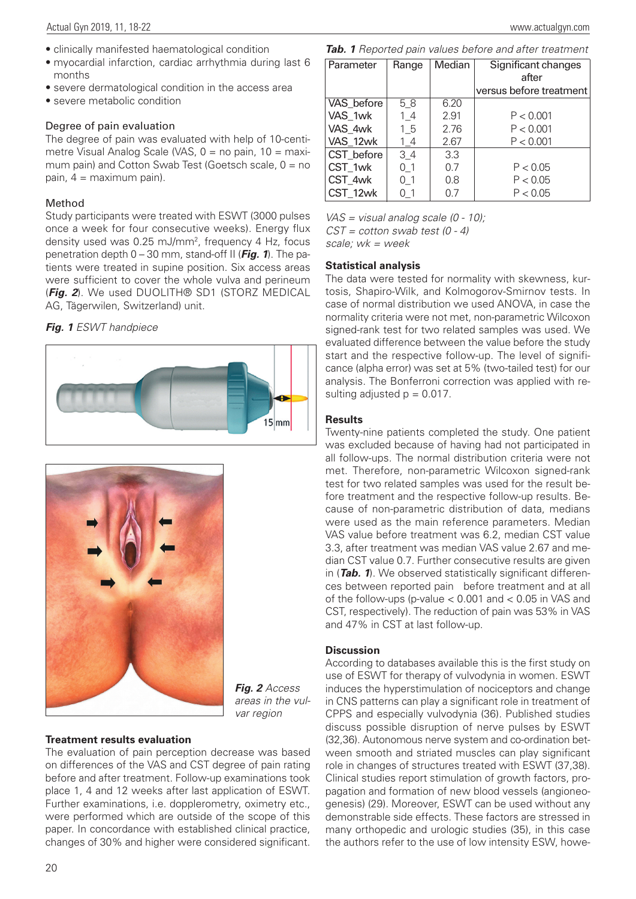- clinically manifested haematological condition
- myocardial infarction, cardiac arrhythmia during last 6 months
- severe dermatological condition in the access area
- severe metabolic condition

#### Degree of pain evaluation

The degree of pain was evaluated with help of 10-centimetre Visual Analog Scale (VAS, 0 = no pain, 10 = maximum pain) and Cotton Swab Test (Goetsch scale,  $0 = no$ pain, 4 = maximum pain).

#### Method

Study participants were treated with ESWT (3000 pulses once a week for four consecutive weeks). Energy flux density used was 0.25 mJ/mm2, frequency 4 Hz, focus penetration depth 0 – 30 mm, stand-off II (*Fig. 1*). The patients were treated in supine position. Six access areas were sufficient to cover the whole vulva and perineum (*Fig. 2*). We used DUOLITH® SD1 (STORZ MEDICAL AG, Tägerwilen, Switzerland) unit.

# *Fig. 1 ESWT handpiece*





*Fig. 2 Access areas in the vulvar region*

## **Treatment results evaluation**

The evaluation of pain perception decrease was based on differences of the VAS and CST degree of pain rating before and after treatment. Follow-up examinations took place 1, 4 and 12 weeks after last application of ESWT. Further examinations, i.e. dopplerometry, oximetry etc., were performed which are outside of the scope of this paper. In concordance with established clinical practice, changes of 30% and higher were considered significant.

*Tab. 1 Reported pain values before and after treatment*

| Parameter  | Range | Median | Significant changes     |
|------------|-------|--------|-------------------------|
|            |       |        | after                   |
|            |       |        | versus before treatment |
| VAS_before | 58    | 6.20   |                         |
| VAS 1wk    | 14    | 2.91   | P < 0.001               |
| VAS 4wk    | 15    | 2.76   | P < 0.001               |
| VAS 12wk   | 14    | 2.67   | P < 0.001               |
| CST before | 34    | 3.3    |                         |
| CST 1wk    | 01    | 0.7    | P < 0.05                |
| CST 4wk    | 01    | 0.8    | P < 0.05                |
| CST 12wk   | 01    | 0.7    | P < 0.05                |

*VAS = visual analog scale (0 - 10); CST = cotton swab test (0 - 4)*

*scale; wk = week*

#### **Statistical analysis**

The data were tested for normality with skewness, kurtosis, Shapiro-Wilk, and Kolmogorov-Smirnov tests. In case of normal distribution we used ANOVA, in case the normality criteria were not met, non-parametric Wilcoxon signed-rank test for two related samples was used. We evaluated difference between the value before the study start and the respective follow-up. The level of significance (alpha error) was set at 5% (two-tailed test) for our analysis. The Bonferroni correction was applied with resulting adjusted  $p = 0.017$ .

## **Results**

Twenty-nine patients completed the study. One patient was excluded because of having had not participated in all follow-ups. The normal distribution criteria were not met. Therefore, non-parametric Wilcoxon signed-rank test for two related samples was used for the result before treatment and the respective follow-up results. Because of non-parametric distribution of data, medians were used as the main reference parameters. Median VAS value before treatment was 6.2, median CST value 3.3, after treatment was median VAS value 2.67 and median CST value 0.7. Further consecutive results are given in (*Tab. 1*). We observed statistically significant differences between reported pain before treatment and at all of the follow-ups (p-value < 0.001 and < 0.05 in VAS and CST, respectively). The reduction of pain was 53% in VAS and 47% in CST at last follow-up.

## **Discussion**

According to databases available this is the first study on use of ESWT for therapy of vulvodynia in women. ESWT induces the hyperstimulation of nociceptors and change in CNS patterns can play a significant role in treatment of CPPS and especially vulvodynia (36). Published studies discuss possible disruption of nerve pulses by ESWT (32,36). Autonomous nerve system and co-ordination between smooth and striated muscles can play significant role in changes of structures treated with ESWT (37,38). Clinical studies report stimulation of growth factors, propagation and formation of new blood vessels (angioneogenesis) (29). Moreover, ESWT can be used without any demonstrable side effects. These factors are stressed in many orthopedic and urologic studies (35), in this case the authors refer to the use of low intensity ESW, howe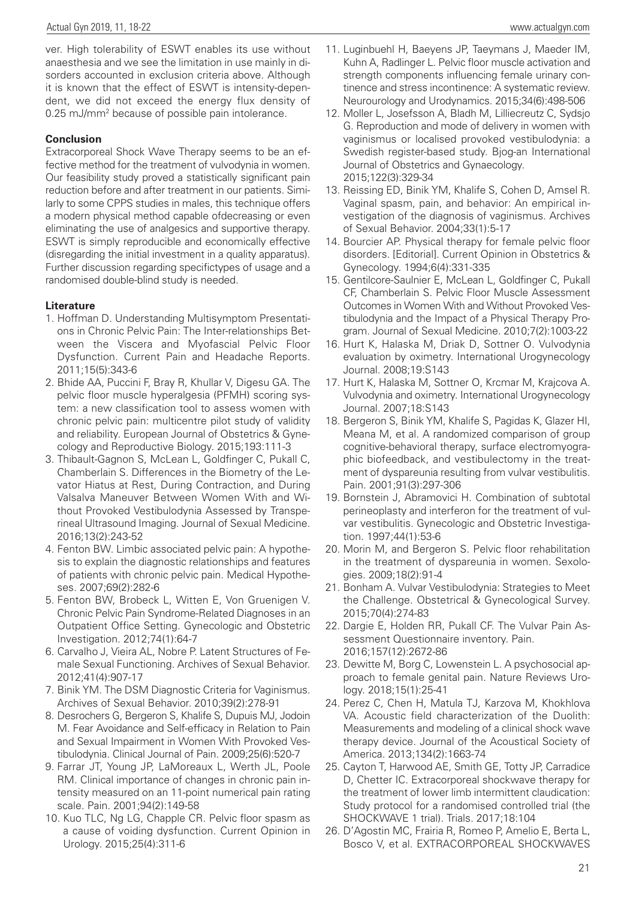ver. High tolerability of ESWT enables its use without anaesthesia and we see the limitation in use mainly in disorders accounted in exclusion criteria above. Although it is known that the effect of ESWT is intensity-dependent, we did not exceed the energy flux density of 0.25 mJ/mm2 because of possible pain intolerance.

# **Conclusion**

Extracorporeal Shock Wave Therapy seems to be an effective method for the treatment of vulvodynia in women. Our feasibility study proved a statistically significant pain reduction before and after treatment in our patients. Similarly to some CPPS studies in males, this technique offers a modern physical method capable ofdecreasing or even eliminating the use of analgesics and supportive therapy. ESWT is simply reproducible and economically effective (disregarding the initial investment in a quality apparatus). Further discussion regarding specifictypes of usage and a randomised double-blind study is needed.

# **Literature**

- 1. Hoffman D. Understanding Multisymptom Presentations in Chronic Pelvic Pain: The Inter-relationships Between the Viscera and Myofascial Pelvic Floor Dysfunction. Current Pain and Headache Reports. 2011;15(5):343-6
- 2. Bhide AA, Puccini F, Bray R, Khullar V, Digesu GA. The pelvic floor muscle hyperalgesia (PFMH) scoring system: a new classification tool to assess women with chronic pelvic pain: multicentre pilot study of validity and reliability. European Journal of Obstetrics & Gynecology and Reproductive Biology. 2015;193:111-3
- 3. Thibault-Gagnon S, McLean L, Goldfinger C, Pukall C, Chamberlain S. Differences in the Biometry of the Levator Hiatus at Rest, During Contraction, and During Valsalva Maneuver Between Women With and Without Provoked Vestibulodynia Assessed by Transperineal Ultrasound Imaging. Journal of Sexual Medicine. 2016;13(2):243-52
- 4. Fenton BW. Limbic associated pelvic pain: A hypothesis to explain the diagnostic relationships and features of patients with chronic pelvic pain. Medical Hypotheses. 2007;69(2):282-6
- 5. Fenton BW, Brobeck L, Witten E, Von Gruenigen V. Chronic Pelvic Pain Syndrome-Related Diagnoses in an Outpatient Office Setting. Gynecologic and Obstetric Investigation. 2012;74(1):64-7
- 6. Carvalho J, Vieira AL, Nobre P. Latent Structures of Female Sexual Functioning. Archives of Sexual Behavior. 2012;41(4):907-17
- 7. Binik YM. The DSM Diagnostic Criteria for Vaginismus. Archives of Sexual Behavior. 2010;39(2):278-91
- 8. Desrochers G, Bergeron S, Khalife S, Dupuis MJ, Jodoin M. Fear Avoidance and Self-efficacy in Relation to Pain and Sexual Impairment in Women With Provoked Vestibulodynia. Clinical Journal of Pain. 2009;25(6):520-7
- 9. Farrar JT, Young JP, LaMoreaux L, Werth JL, Poole RM. Clinical importance of changes in chronic pain intensity measured on an 11-point numerical pain rating scale. Pain. 2001;94(2):149-58
- 10. Kuo TLC, Ng LG, Chapple CR. Pelvic floor spasm as a cause of voiding dysfunction. Current Opinion in Urology. 2015;25(4):311-6
- 11. Luginbuehl H, Baeyens JP, Taeymans J, Maeder IM, Kuhn A, Radlinger L. Pelvic floor muscle activation and strength components influencing female urinary continence and stress incontinence: A systematic review. Neurourology and Urodynamics. 2015;34(6):498-506
- 12. Moller L, Josefsson A, Bladh M, Lilliecreutz C, Sydsjo G. Reproduction and mode of delivery in women with vaginismus or localised provoked vestibulodynia: a Swedish register-based study. Bjog-an International Journal of Obstetrics and Gynaecology. 2015;122(3):329-34
- 13. Reissing ED, Binik YM, Khalife S, Cohen D, Amsel R. Vaginal spasm, pain, and behavior: An empirical investigation of the diagnosis of vaginismus. Archives of Sexual Behavior. 2004;33(1):5-17
- 14. Bourcier AP. Physical therapy for female pelvic floor disorders. [Editorial]. Current Opinion in Obstetrics & Gynecology. 1994;6(4):331-335
- 15. Gentilcore-Saulnier E, McLean L, Goldfinger C, Pukall CF, Chamberlain S. Pelvic Floor Muscle Assessment Outcomes in Women With and Without Provoked Vestibulodynia and the Impact of a Physical Therapy Program. Journal of Sexual Medicine. 2010;7(2):1003-22
- 16. Hurt K, Halaska M, Driak D, Sottner O. Vulvodynia evaluation by oximetry. International Urogynecology Journal. 2008;19:S143
- 17. Hurt K, Halaska M, Sottner O, Krcmar M, Krajcova A. Vulvodynia and oximetry. International Urogynecology Journal. 2007;18:S143
- 18. Bergeron S, Binik YM, Khalife S, Pagidas K, Glazer HI, Meana M, et al. A randomized comparison of group cognitive-behavioral therapy, surface electromyographic biofeedback, and vestibulectomy in the treatment of dyspareunia resulting from vulvar vestibulitis. Pain. 2001;91(3):297-306
- 19. Bornstein J, Abramovici H. Combination of subtotal perineoplasty and interferon for the treatment of vulvar vestibulitis. Gynecologic and Obstetric Investigation. 1997;44(1):53-6
- 20. Morin M, and Bergeron S. Pelvic floor rehabilitation in the treatment of dyspareunia in women. Sexologies. 2009;18(2):91-4
- 21. Bonham A. Vulvar Vestibulodynia: Strategies to Meet the Challenge. Obstetrical & Gynecological Survey. 2015;70(4):274-83
- 22. Dargie E, Holden RR, Pukall CF. The Vulvar Pain Assessment Questionnaire inventory. Pain. 2016;157(12):2672-86
- 23. Dewitte M, Borg C, Lowenstein L. A psychosocial approach to female genital pain. Nature Reviews Urology. 2018;15(1):25-41
- 24. Perez C, Chen H, Matula TJ, Karzova M, Khokhlova VA. Acoustic field characterization of the Duolith: Measurements and modeling of a clinical shock wave therapy device. Journal of the Acoustical Society of America. 2013;134(2):1663-74
- 25. Cayton T, Harwood AE, Smith GE, Totty JP, Carradice D, Chetter IC. Extracorporeal shockwave therapy for the treatment of lower limb intermittent claudication: Study protocol for a randomised controlled trial (the SHOCKWAVE 1 trial). Trials. 2017;18:104
- 26. D'Agostin MC, Frairia R, Romeo P, Amelio E, Berta L, Bosco V, et al. EXTRACORPOREAL SHOCKWAVES